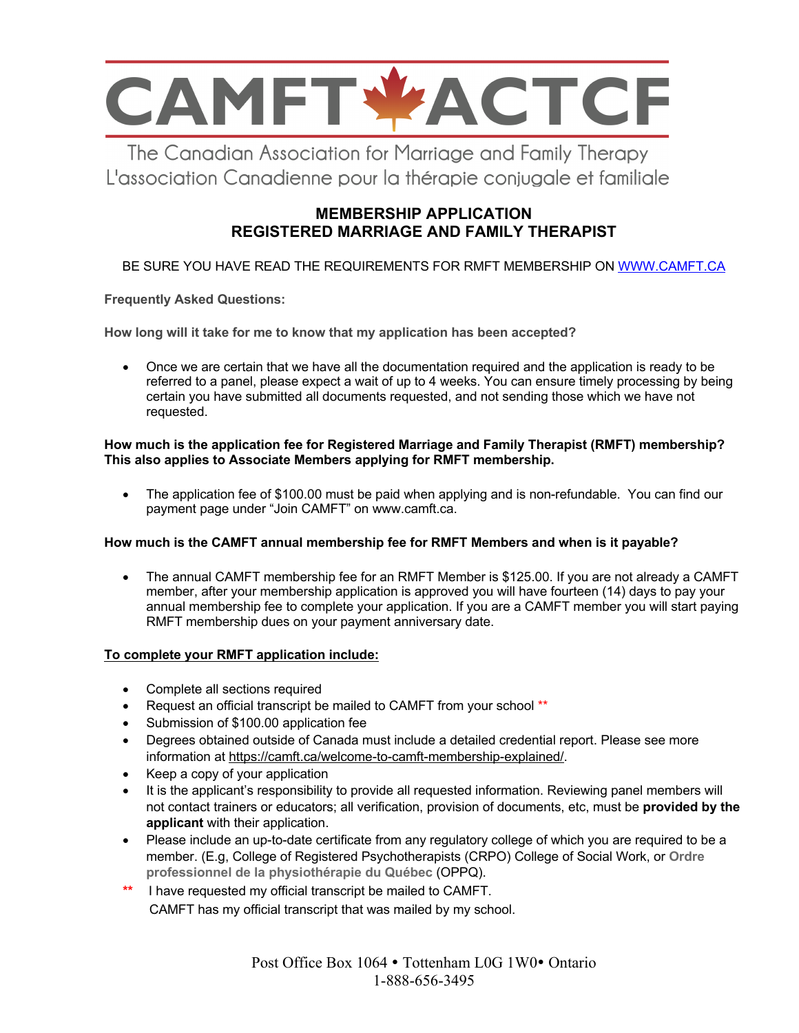

The Canadian Association for Marriage and Family Therapy L'association Canadienne pour la thérapie conjugale et familiale

# **MEMBERSHIP APPLICATION REGISTERED MARRIAGE AND FAMILY THERAPIST**

### BE SURE YOU HAVE READ THE REQUIREMENTS FOR RMFT MEMBERSHIP ON WWW.CAMFT.CA

**Frequently Asked Questions:**

**How long will it take for me to know that my application has been accepted?** 

• Once we are certain that we have all the documentation required and the application is ready to be referred to a panel, please expect a wait of up to 4 weeks. You can ensure timely processing by being certain you have submitted all documents requested, and not sending those which we have not requested.

### **How much is the application fee for Registered Marriage and Family Therapist (RMFT) membership? This also applies to Associate Members applying for RMFT membership.**

• The application fee of \$100.00 must be paid when applying and is non-refundable. You can find our payment page under "Join CAMFT" on www.camft.ca.

### **How much is the CAMFT annual membership fee for RMFT Members and when is it payable?**

• The annual CAMFT membership fee for an RMFT Member is \$125.00. If you are not already a CAMFT member, after your membership application is approved you will have fourteen (14) days to pay your annual membership fee to complete your application. If you are a CAMFT member you will start paying RMFT membership dues on your payment anniversary date.

### **To complete your RMFT application include:**

- Complete all sections required
- Request an official transcript be mailed to CAMFT from your school \*\*
- Submission of \$100.00 application fee
- Degrees obtained outside of Canada must include a detailed credential report. Please see more information at https://camft.ca/welcome-to-camft-membership-explained/.
- Keep a copy of your application
- It is the applicant's responsibility to provide all requested information. Reviewing panel members will not contact trainers or educators; all verification, provision of documents, etc, must be **provided by the applicant** with their application.
- Please include an up-to-date certificate from any regulatory college of which you are required to be a member. (E.g, College of Registered Psychotherapists (CRPO) College of Social Work, or **Ordre professionnel de la physiothérapie du Québec** (OPPQ).
- **\*\*** I have requested my official transcript be mailed to CAMFT. CAMFT has my official transcript that was mailed by my school.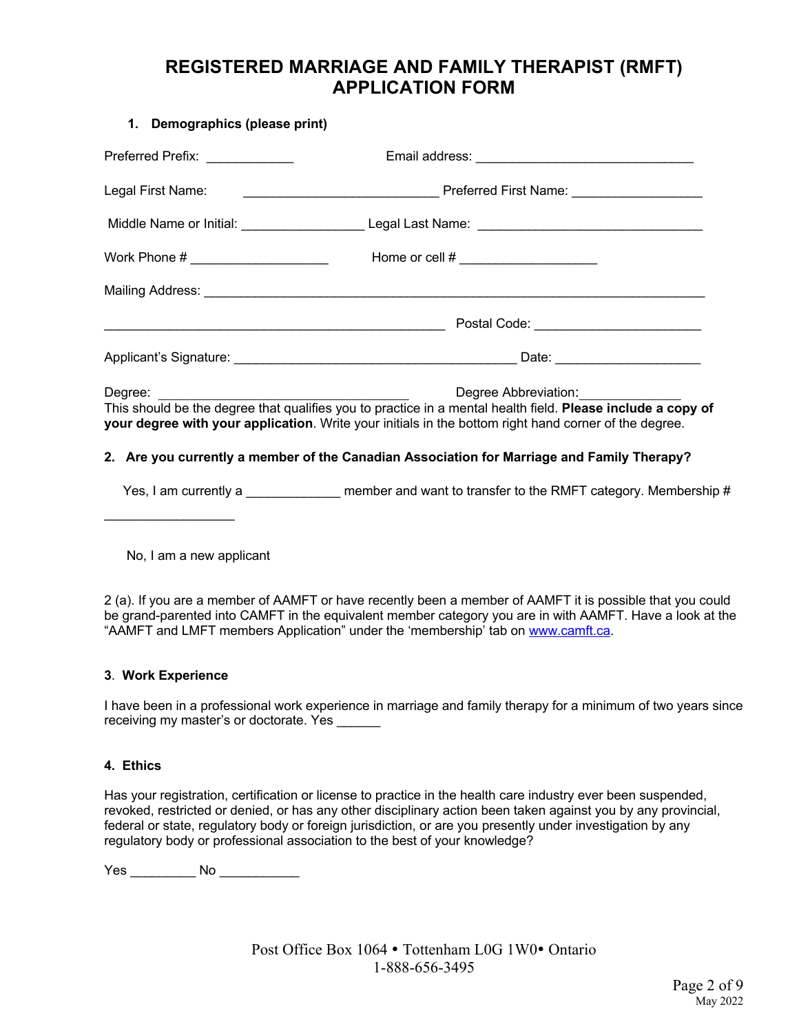# **REGISTERED MARRIAGE AND FAMILY THERAPIST (RMFT) APPLICATION FORM**

#### **1. Demographics (please print)**

| Preferred Prefix: ______________    |                                                                                                                                                                                                                                                             |
|-------------------------------------|-------------------------------------------------------------------------------------------------------------------------------------------------------------------------------------------------------------------------------------------------------------|
| Legal First Name:                   |                                                                                                                                                                                                                                                             |
|                                     |                                                                                                                                                                                                                                                             |
| Work Phone # ______________________ |                                                                                                                                                                                                                                                             |
|                                     |                                                                                                                                                                                                                                                             |
|                                     |                                                                                                                                                                                                                                                             |
|                                     |                                                                                                                                                                                                                                                             |
|                                     | Degree Abbreviation: ______________<br>This should be the degree that qualifies you to practice in a mental health field. Please include a copy of<br>your degree with your application. Write your initials in the bottom right hand corner of the degree. |

### **2. Are you currently a member of the Canadian Association for Marriage and Family Therapy?**

Yes, I am currently a *member and want to transfer to the RMFT category. Membership #* 

No, I am a new applicant

2 (a). If you are a member of AAMFT or have recently been a member of AAMFT it is possible that you could be grand-parented into CAMFT in the equivalent member category you are in with AAMFT. Have a look at the "AAMFT and LMFT members Application" under the 'membership' tab on www.camft.ca.

### **3**. **Work Experience**

 $\mathcal{L}_\text{max}$  , where  $\mathcal{L}_\text{max}$  , we have the set of  $\mathcal{L}_\text{max}$ 

I have been in a professional work experience in marriage and family therapy for a minimum of two years since receiving my master's or doctorate. Yes

#### **4. Ethics**

Has your registration, certification or license to practice in the health care industry ever been suspended, revoked, restricted or denied, or has any other disciplinary action been taken against you by any provincial, federal or state, regulatory body or foreign jurisdiction, or are you presently under investigation by any regulatory body or professional association to the best of your knowledge?

Yes \_\_\_\_\_\_\_\_\_ No \_\_\_\_\_\_\_\_\_\_\_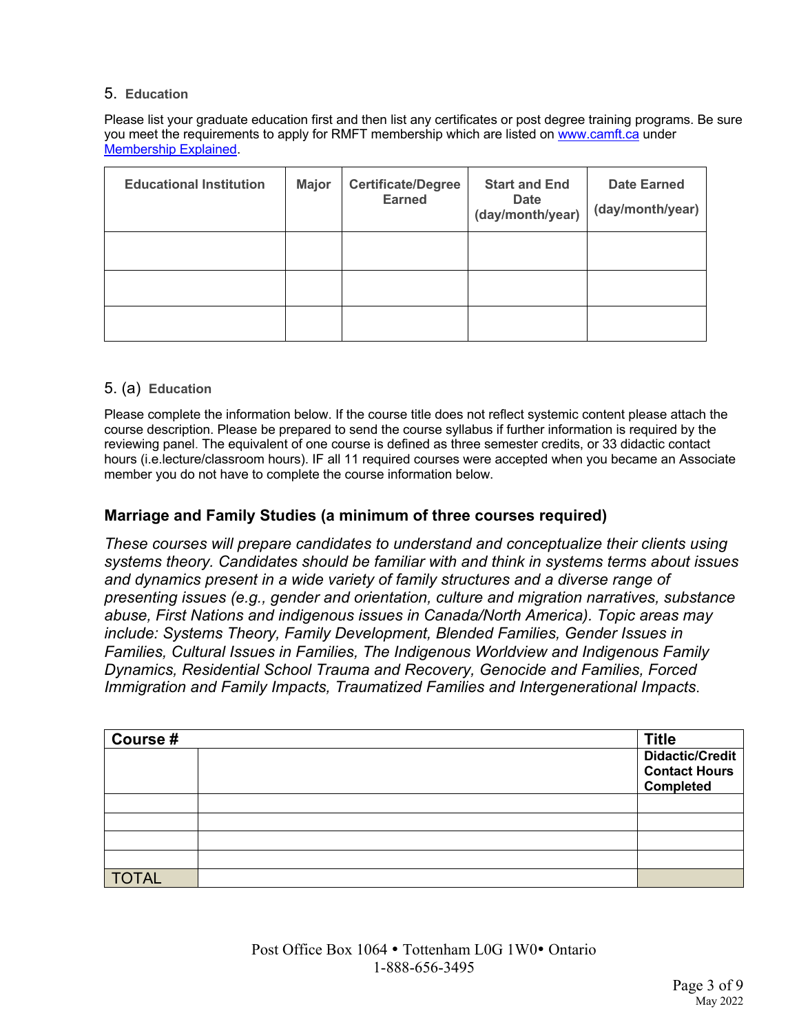### 5. **Education**

Please list your graduate education first and then list any certificates or post degree training programs. Be sure you meet the requirements to apply for RMFT membership which are listed on www.camft.ca under Membership Explained.

| <b>Educational Institution</b> | <b>Major</b> | <b>Certificate/Degree</b><br><b>Earned</b> | <b>Start and End</b><br><b>Date</b><br>(day/month/year) | <b>Date Earned</b><br>(day/month/year) |
|--------------------------------|--------------|--------------------------------------------|---------------------------------------------------------|----------------------------------------|
|                                |              |                                            |                                                         |                                        |
|                                |              |                                            |                                                         |                                        |
|                                |              |                                            |                                                         |                                        |

### 5. (a) **Education**

Please complete the information below. If the course title does not reflect systemic content please attach the course description. Please be prepared to send the course syllabus if further information is required by the reviewing panel. The equivalent of one course is defined as three semester credits, or 33 didactic contact hours (i.e.lecture/classroom hours). IF all 11 required courses were accepted when you became an Associate member you do not have to complete the course information below.

## **Marriage and Family Studies (a minimum of three courses required)**

*These courses will prepare candidates to understand and conceptualize their clients using systems theory. Candidates should be familiar with and think in systems terms about issues and dynamics present in a wide variety of family structures and a diverse range of presenting issues (e.g., gender and orientation, culture and migration narratives, substance abuse, First Nations and indigenous issues in Canada/North America). Topic areas may include: Systems Theory, Family Development, Blended Families, Gender Issues in Families, Cultural Issues in Families, The Indigenous Worldview and Indigenous Family Dynamics, Residential School Trauma and Recovery, Genocide and Families, Forced Immigration and Family Impacts, Traumatized Families and Intergenerational Impacts*.

| Course #     | <b>Title</b>         |
|--------------|----------------------|
|              | Didactic/Credit      |
|              | <b>Contact Hours</b> |
|              | <b>Completed</b>     |
|              |                      |
|              |                      |
|              |                      |
|              |                      |
| <b>TOTAL</b> |                      |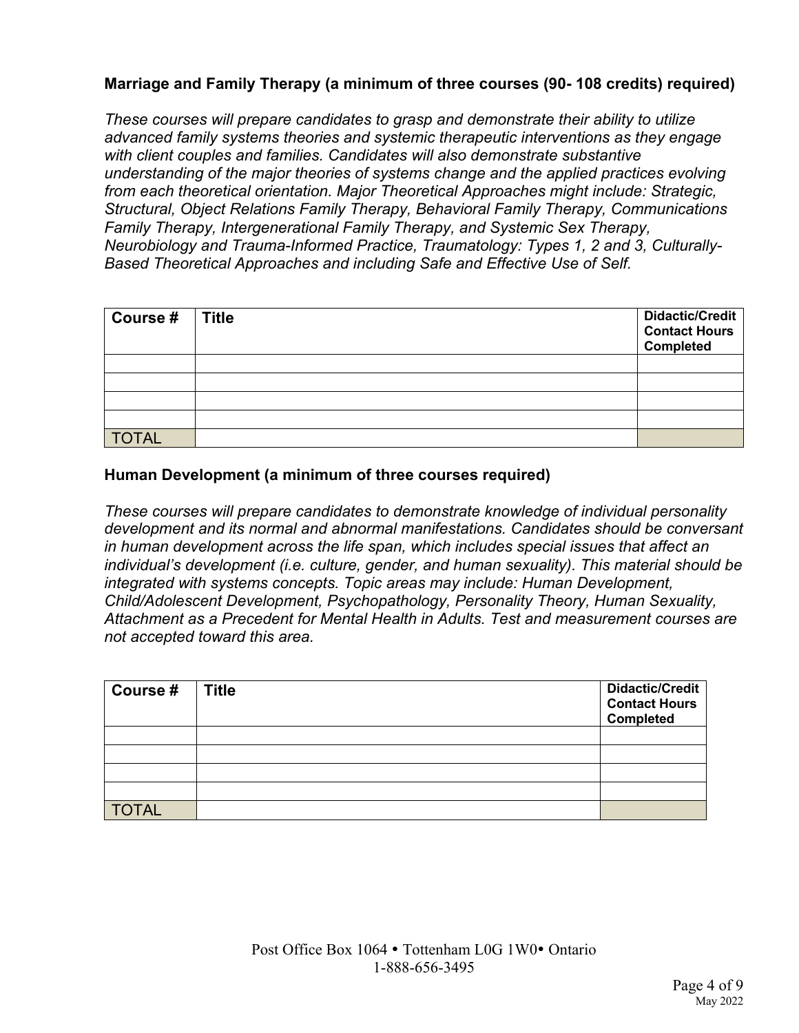# **Marriage and Family Therapy (a minimum of three courses (90- 108 credits) required)**

*These courses will prepare candidates to grasp and demonstrate their ability to utilize advanced family systems theories and systemic therapeutic interventions as they engage with client couples and families. Candidates will also demonstrate substantive understanding of the major theories of systems change and the applied practices evolving from each theoretical orientation. Major Theoretical Approaches might include: Strategic, Structural, Object Relations Family Therapy, Behavioral Family Therapy, Communications Family Therapy, Intergenerational Family Therapy, and Systemic Sex Therapy, Neurobiology and Trauma-Informed Practice, Traumatology: Types 1, 2 and 3, Culturally-Based Theoretical Approaches and including Safe and Effective Use of Self.*

| Course $#$ Title | Didactic/Credit<br><b>Contact Hours</b><br><b>Completed</b> |
|------------------|-------------------------------------------------------------|
|                  |                                                             |
|                  |                                                             |
|                  |                                                             |
|                  |                                                             |
| <b>TOTAL</b>     |                                                             |

### **Human Development (a minimum of three courses required)**

*These courses will prepare candidates to demonstrate knowledge of individual personality development and its normal and abnormal manifestations. Candidates should be conversant in human development across the life span, which includes special issues that affect an individual's development (i.e. culture, gender, and human sexuality). This material should be integrated with systems concepts. Topic areas may include: Human Development, Child/Adolescent Development, Psychopathology, Personality Theory, Human Sexuality, Attachment as a Precedent for Mental Health in Adults. Test and measurement courses are not accepted toward this area.*

| Course #     | <b>Title</b> | <b>Didactic/Credit</b><br><b>Contact Hours</b><br><b>Completed</b> |
|--------------|--------------|--------------------------------------------------------------------|
|              |              |                                                                    |
|              |              |                                                                    |
|              |              |                                                                    |
|              |              |                                                                    |
| <b>TOTAL</b> |              |                                                                    |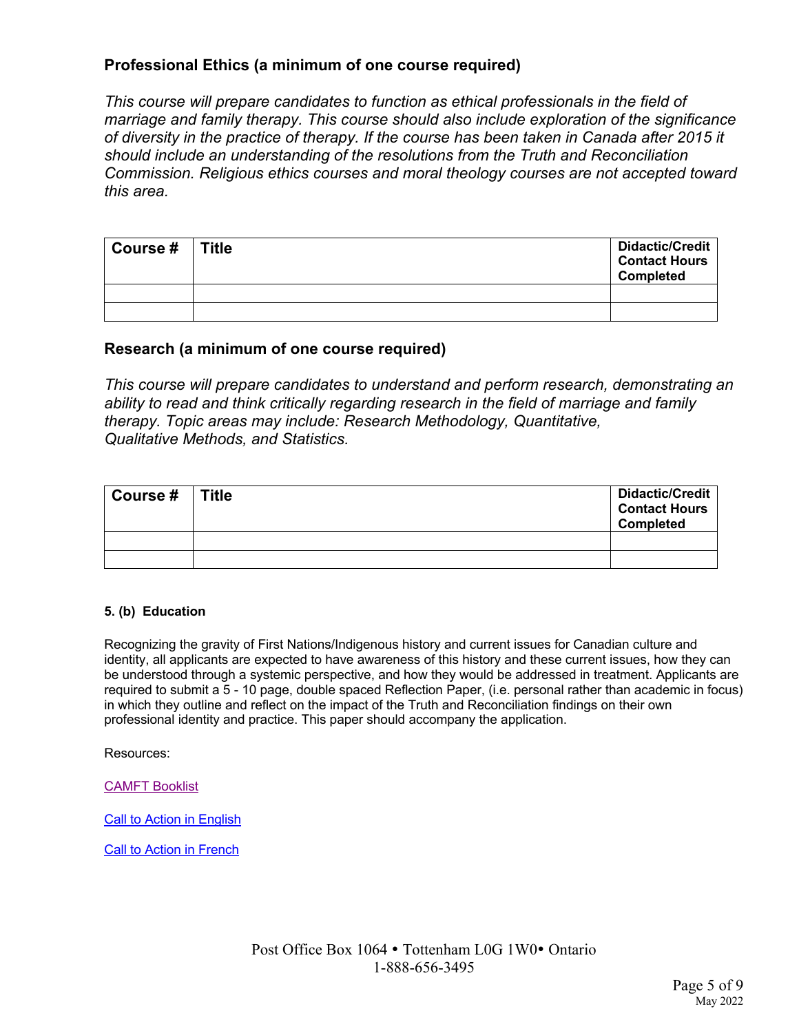## **Professional Ethics (a minimum of one course required)**

*This course will prepare candidates to function as ethical professionals in the field of marriage and family therapy. This course should also include exploration of the significance of diversity in the practice of therapy. If the course has been taken in Canada after 2015 it should include an understanding of the resolutions from the Truth and Reconciliation Commission. Religious ethics courses and moral theology courses are not accepted toward this area.*

| Course # | <b>Title</b> | <b>Didactic/Credit</b><br><b>Contact Hours</b><br><b>Completed</b> |
|----------|--------------|--------------------------------------------------------------------|
|          |              |                                                                    |
|          |              |                                                                    |

### **Research (a minimum of one course required)**

*This course will prepare candidates to understand and perform research, demonstrating an ability to read and think critically regarding research in the field of marriage and family therapy. Topic areas may include: Research Methodology, Quantitative, Qualitative Methods, and Statistics.*

| Course $#$ Title | <b>Didactic/Credit</b><br><b>Contact Hours</b><br><b>Completed</b> |
|------------------|--------------------------------------------------------------------|
|                  |                                                                    |
|                  |                                                                    |

### **5. (b) Education**

Recognizing the gravity of First Nations/Indigenous history and current issues for Canadian culture and identity, all applicants are expected to have awareness of this history and these current issues, how they can be understood through a systemic perspective, and how they would be addressed in treatment. Applicants are required to submit a 5 - 10 page, double spaced Reflection Paper, (i.e. personal rather than academic in focus) in which they outline and reflect on the impact of the Truth and Reconciliation findings on their own professional identity and practice. This paper should accompany the application.

Resources:

CAMFT Booklist

Call to Action in English

Call to Action in French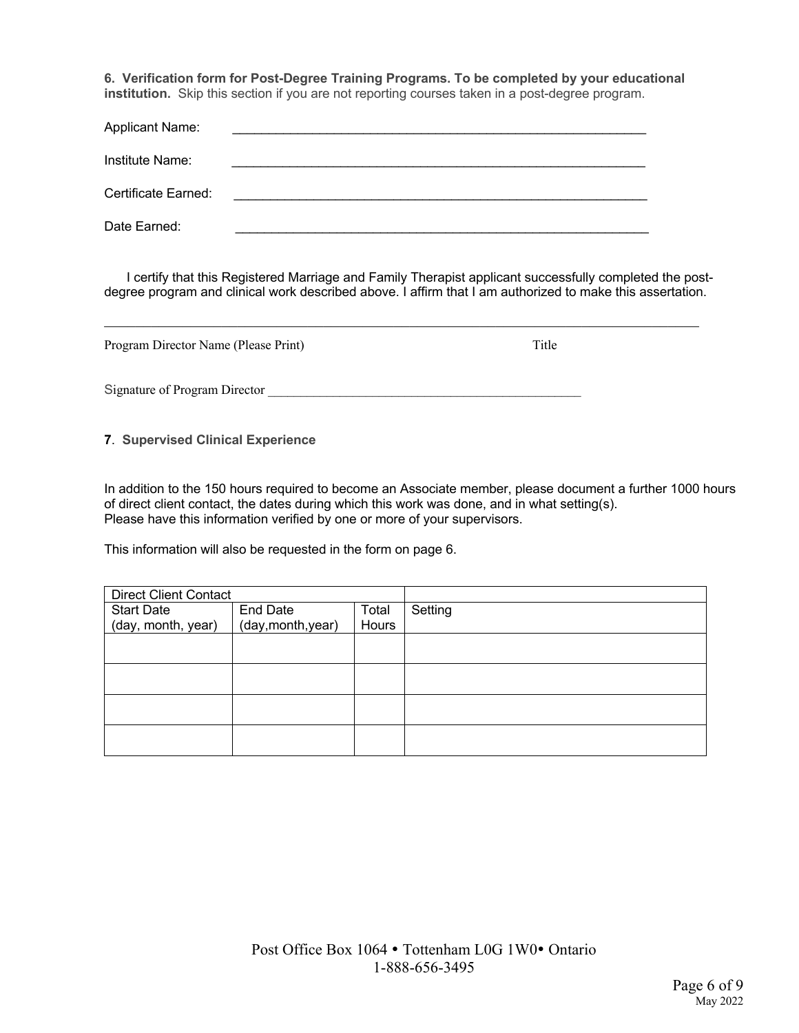**6. Verification form for Post-Degree Training Programs. To be completed by your educational institution.** Skip this section if you are not reporting courses taken in a post-degree program.

| <b>Applicant Name:</b> |                                                                                                 |  |
|------------------------|-------------------------------------------------------------------------------------------------|--|
| Institute Name:        |                                                                                                 |  |
| Certificate Earned:    | the contract of the contract of the contract of the contract of the contract of the contract of |  |
| Date Earned:           |                                                                                                 |  |

 I certify that this Registered Marriage and Family Therapist applicant successfully completed the postdegree program and clinical work described above. I affirm that I am authorized to make this assertation.

| Program Director Name (Please Print) | Title |
|--------------------------------------|-------|
| Signature of Program Director        |       |

#### **7**. **Supervised Clinical Experience**

In addition to the 150 hours required to become an Associate member, please document a further 1000 hours of direct client contact, the dates during which this work was done, and in what setting(s). Please have this information verified by one or more of your supervisors.

This information will also be requested in the form on page 6.

| <b>Direct Client Contact</b> |                    |       |         |
|------------------------------|--------------------|-------|---------|
| <b>Start Date</b>            | End Date           | Total | Setting |
| (day, month, year)           | (day, month, year) | Hours |         |
|                              |                    |       |         |
|                              |                    |       |         |
|                              |                    |       |         |
|                              |                    |       |         |
|                              |                    |       |         |
|                              |                    |       |         |
|                              |                    |       |         |
|                              |                    |       |         |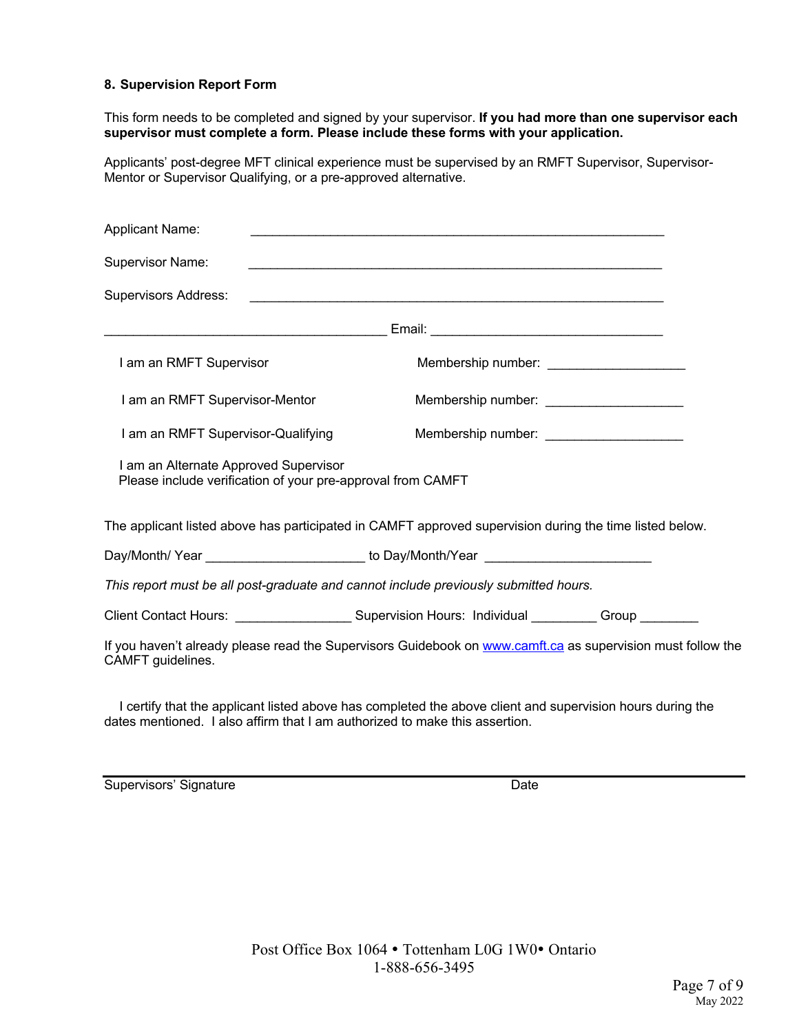#### **8. Supervision Report Form**

This form needs to be completed and signed by your supervisor. **If you had more than one supervisor each supervisor must complete a form. Please include these forms with your application.** 

Applicants' post-degree MFT clinical experience must be supervised by an RMFT Supervisor, Supervisor-Mentor or Supervisor Qualifying, or a pre-approved alternative.

| <b>Supervisor Name:</b><br><b>Supervisors Address:</b><br>I am an RMFT Supervisor<br>Membership number: _____________________<br>I am an RMFT Supervisor-Mentor<br>Membership number: ______________________ |
|--------------------------------------------------------------------------------------------------------------------------------------------------------------------------------------------------------------|
|                                                                                                                                                                                                              |
|                                                                                                                                                                                                              |
|                                                                                                                                                                                                              |
|                                                                                                                                                                                                              |
|                                                                                                                                                                                                              |
| I am an RMFT Supervisor-Qualifying<br>Membership number: ________________________                                                                                                                            |
| I am an Alternate Approved Supervisor<br>Please include verification of your pre-approval from CAMFT                                                                                                         |
| The applicant listed above has participated in CAMFT approved supervision during the time listed below.                                                                                                      |
| Day/Month/Year ___________________________ to Day/Month/Year ___________________                                                                                                                             |
| This report must be all post-graduate and cannot include previously submitted hours.                                                                                                                         |
| Client Contact Hours: ________________________Supervision Hours: Individual __________Group _________                                                                                                        |
| If you haven't already please read the Supervisors Guidebook on www.camft.ca as supervision must follow the<br>CAMFT guidelines.                                                                             |

 I certify that the applicant listed above has completed the above client and supervision hours during the dates mentioned. I also affirm that I am authorized to make this assertion.

Supervisors' Signature Date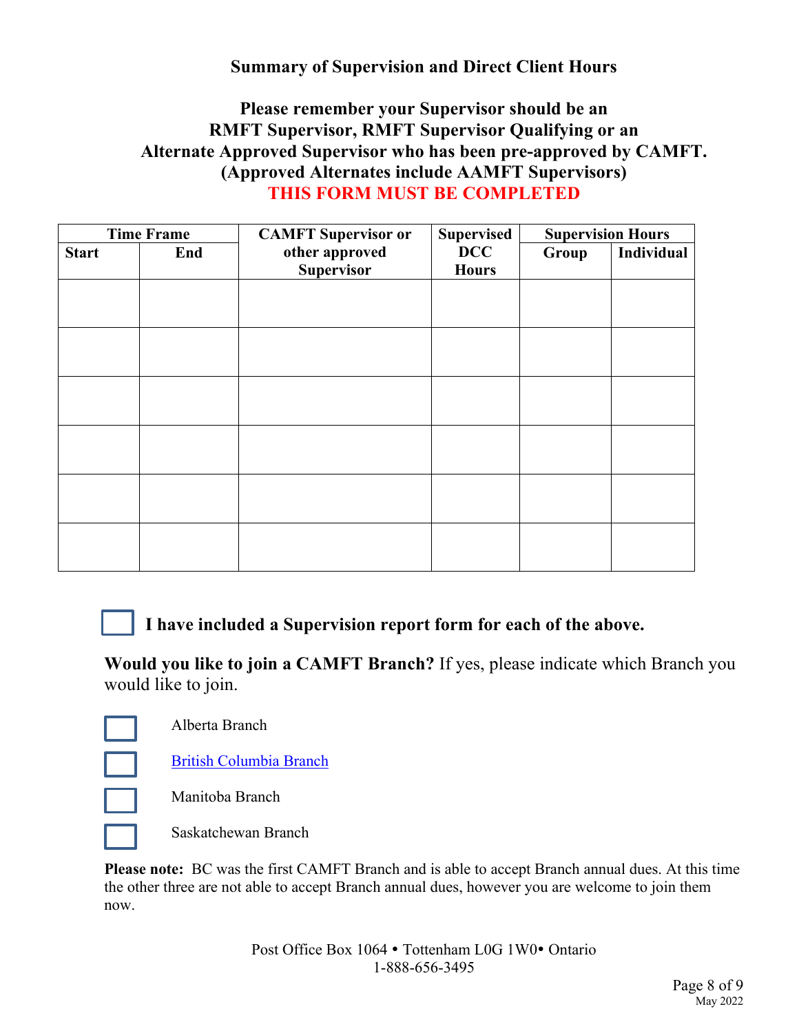# **Summary of Supervision and Direct Client Hours**

# **Please remember your Supervisor should be an RMFT Supervisor, RMFT Supervisor Qualifying or an Alternate Approved Supervisor who has been pre-approved by CAMFT. (Approved Alternates include AAMFT Supervisors) THIS FORM MUST BE COMPLETED**

| <b>Time Frame</b> |     | <b>CAMFT</b> Supervisor or          | <b>Supervised</b>          | <b>Supervision Hours</b> |            |  |
|-------------------|-----|-------------------------------------|----------------------------|--------------------------|------------|--|
| <b>Start</b>      | End | other approved<br><b>Supervisor</b> | <b>DCC</b><br><b>Hours</b> | Group                    | Individual |  |
|                   |     |                                     |                            |                          |            |  |
|                   |     |                                     |                            |                          |            |  |
|                   |     |                                     |                            |                          |            |  |
|                   |     |                                     |                            |                          |            |  |
|                   |     |                                     |                            |                          |            |  |
|                   |     |                                     |                            |                          |            |  |
|                   |     |                                     |                            |                          |            |  |
|                   |     |                                     |                            |                          |            |  |
|                   |     |                                     |                            |                          |            |  |

 **I have included a Supervision report form for each of the above.** 

**Would you like to join a CAMFT Branch?** If yes, please indicate which Branch you would like to join.

Alberta Branch

British Columbia Branch



Manitoba Branch

Saskatchewan Branch

**Please note:** BC was the first CAMFT Branch and is able to accept Branch annual dues. At this time the other three are not able to accept Branch annual dues, however you are welcome to join them now.

> Post Office Box 1064 • Tottenham L0G 1W0• Ontario 1-888-656-3495